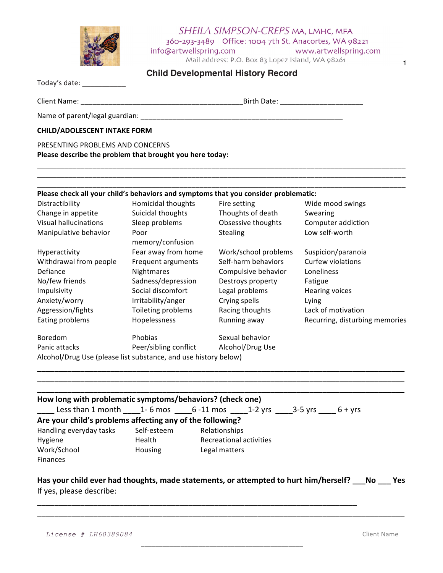

## SHEILA SIMPSON-CREPS MA, LMHC, MFA 360-293-3489 Office: 1004 7th St. Anacortes, WA 98221 info@artwellspring.com www.artwellspring.com

Mail address: P.O. Box 83 Lopez Island, WA 98261

1

| <b>Child Developmental History Record</b> |  |
|-------------------------------------------|--|
|-------------------------------------------|--|

\_\_\_\_\_\_\_\_\_\_\_\_\_\_\_\_\_\_\_\_\_\_\_\_\_\_\_\_\_\_\_\_\_\_\_\_\_\_\_\_\_\_\_\_\_\_\_\_\_\_\_\_\_\_\_\_\_\_\_\_\_\_\_\_\_\_\_\_\_\_\_\_\_\_\_\_\_\_\_\_\_\_\_\_\_\_\_\_\_\_\_\_\_

\_\_\_\_\_\_\_\_\_\_\_\_\_\_\_\_\_\_\_\_\_\_\_\_\_\_\_\_\_\_\_\_\_\_\_\_\_\_\_\_\_\_\_\_\_\_\_\_\_\_\_\_\_\_\_\_\_\_\_\_\_\_\_\_\_\_\_\_\_\_\_\_\_\_\_\_\_\_\_\_\_\_\_\_\_\_\_\_\_\_\_\_\_

| Today's date: |  |
|---------------|--|
|               |  |

Client Name: \_\_\_\_\_\_\_\_\_\_\_\_\_\_\_\_\_\_\_\_\_\_\_\_\_\_\_\_\_\_\_\_\_\_\_\_\_\_\_\_\_Birth Date: \_\_\_\_\_\_\_\_\_\_\_\_\_\_\_\_\_\_\_\_\_ 

Name of parent/legal guardian: \_\_\_\_\_\_\_\_\_\_\_\_\_\_\_\_\_\_\_\_\_\_\_\_\_\_\_\_\_\_\_\_\_\_\_\_\_\_\_\_\_\_\_\_\_\_\_\_\_\_\_ 

## **CHILD/ADOLESCENT INTAKE FORM**

## PRESENTING PROBLEMS AND CONCERNS

Please describe the problem that brought you here today:

# Please check all your child's behaviors and symptoms that you consider problematic:

| Distractibility                                                 | <b>Homicidal thoughts</b> | Fire setting         | Wide mood swings               |
|-----------------------------------------------------------------|---------------------------|----------------------|--------------------------------|
| Change in appetite                                              | Suicidal thoughts         | Thoughts of death    | Swearing                       |
| Visual hallucinations                                           | Sleep problems            | Obsessive thoughts   | Computer addiction             |
| Manipulative behavior                                           | Poor<br>memory/confusion  | <b>Stealing</b>      | Low self-worth                 |
| Hyperactivity                                                   | Fear away from home       | Work/school problems | Suspicion/paranoia             |
| Withdrawal from people                                          | Frequent arguments        | Self-harm behaviors  | Curfew violations              |
| Defiance                                                        | <b>Nightmares</b>         | Compulsive behavior  | Loneliness                     |
| No/few friends                                                  | Sadness/depression        | Destroys property    | Fatigue                        |
| Impulsivity                                                     | Social discomfort         | Legal problems       | <b>Hearing voices</b>          |
| Anxiety/worry                                                   | Irritability/anger        | Crying spells        | Lying                          |
| Aggression/fights                                               | Toileting problems        | Racing thoughts      | Lack of motivation             |
| Eating problems                                                 | Hopelessness              | Running away         | Recurring, disturbing memories |
| <b>Boredom</b>                                                  | <b>Phobias</b>            | Sexual behavior      |                                |
| Panic attacks                                                   | Peer/sibling conflict     | Alcohol/Drug Use     |                                |
| Alcohol/Drug Use (please list substance, and use history below) |                           |                      |                                |

| How long with problematic symptoms/behaviors? (check one) |                |                                                                                       |  |
|-----------------------------------------------------------|----------------|---------------------------------------------------------------------------------------|--|
|                                                           |                | Less than 1 month $1 - 1 - 6$ mos $1 - 6 - 11$ mos $1 - 2$ yrs $3 - 5$ yrs $6 + y$ rs |  |
| Are your child's problems affecting any of the following? |                |                                                                                       |  |
| Handling everyday tasks                                   | Self-esteem    | Relationships                                                                         |  |
| Hygiene                                                   | Health         | Recreational activities                                                               |  |
| Work/School                                               | <b>Housing</b> | Legal matters                                                                         |  |
| <b>Finances</b>                                           |                |                                                                                       |  |

\_\_\_\_\_\_\_\_\_\_\_\_\_\_\_\_\_\_\_\_\_\_\_\_\_\_\_\_\_\_\_\_\_\_\_\_\_\_\_\_\_\_\_\_\_\_\_\_\_\_\_\_\_\_\_\_\_\_\_\_\_\_\_\_\_\_\_\_\_\_\_\_\_\_\_\_\_\_\_\_\_\_\_\_\_ \_\_\_\_\_\_\_\_\_\_\_\_\_\_\_\_\_\_\_\_\_\_\_\_\_\_\_\_\_\_\_\_\_\_\_\_\_\_\_\_\_\_\_\_\_\_\_\_\_\_\_\_\_\_\_\_\_\_\_\_\_\_\_\_\_\_\_\_\_\_\_\_\_\_\_\_\_\_\_\_\_\_\_\_\_

Has your child ever had thoughts, made statements, or attempted to hurt him/herself? \_\_No \_\_\_ Yes If yes, please describe:

\_\_\_\_\_\_\_\_\_\_\_\_\_\_\_\_\_\_\_\_\_\_\_\_\_\_\_\_\_\_\_\_\_\_\_\_\_\_\_\_\_\_\_\_\_\_\_\_\_\_\_\_\_\_\_\_\_\_\_\_\_\_\_\_\_\_\_\_\_\_\_\_\_\_\_\_\_\_\_\_\_\_\_\_\_

\_\_\_\_\_\_\_\_\_\_\_\_\_\_\_\_\_\_\_\_\_\_\_\_\_\_\_\_\_\_\_\_\_\_\_\_\_\_\_\_\_\_\_\_\_\_\_\_\_\_\_\_\_\_\_\_\_\_\_\_\_\_\_\_\_\_\_\_\_\_\_\_\_\_ 

\_\_\_\_\_\_\_\_\_\_\_\_\_\_\_\_\_\_\_\_\_\_\_\_\_\_\_\_\_\_\_\_\_\_\_\_\_\_\_\_\_\_\_\_\_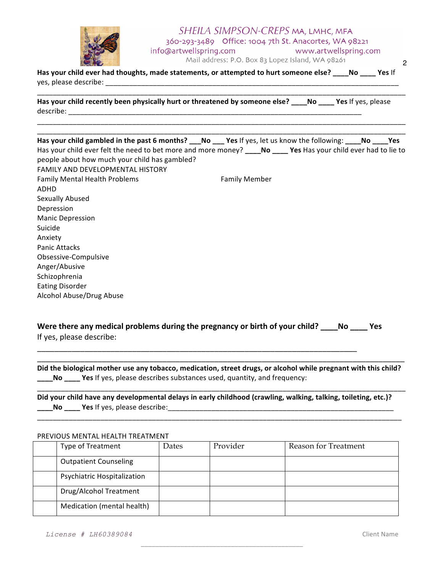

## SHEILA SIMPSON-CREPS MA, LMHC, MFA 360-293-3489 Office: 1004 7th St. Anacortes, WA 98221 info@artwellspring.com www.artwellspring.com Mail address: P.O. Box 83 Lopez Island, WA 98261

Has your child ever had thoughts, made statements, or attempted to hurt someone else? \_\_\_\_No \_\_\_\_ Yes If yes, please describe: \_\_\_\_\_\_\_\_\_\_\_\_\_\_\_\_\_\_\_\_\_\_\_\_\_\_\_\_\_\_\_\_\_\_\_\_\_\_\_\_\_\_\_\_\_\_\_\_\_\_\_\_\_\_\_\_\_\_\_\_\_\_\_\_\_\_\_\_\_\_\_\_\_\_ 

\_\_\_\_\_\_\_\_\_\_\_\_\_\_\_\_\_\_\_\_\_\_\_\_\_\_\_\_\_\_\_\_\_\_\_\_\_\_\_\_\_\_\_\_\_\_\_\_\_\_\_\_\_\_\_\_\_\_\_\_\_\_\_\_\_\_\_\_\_\_\_\_\_\_\_\_\_\_\_\_\_\_\_\_\_\_\_\_\_\_\_\_\_

\_\_\_\_\_\_\_\_\_\_\_\_\_\_\_\_\_\_\_\_\_\_\_\_\_\_\_\_\_\_\_\_\_\_\_\_\_\_\_\_\_\_\_\_\_\_\_\_\_\_\_\_\_\_\_\_\_\_\_\_\_\_\_\_\_\_\_\_\_\_\_\_\_\_\_\_\_\_\_\_\_\_\_\_\_\_\_\_\_\_\_\_\_ 

Has your child recently been physically hurt or threatened by someone else? \_\_\_\_No \_\_\_\_ Yes If yes, please describe: \_\_\_\_\_\_\_\_\_\_\_\_\_\_\_\_\_\_\_\_\_\_\_\_\_\_\_\_\_\_\_\_\_\_\_\_\_\_\_\_\_\_\_\_\_\_\_\_\_\_\_\_\_\_\_\_\_\_\_\_\_\_\_\_\_\_\_\_\_\_\_\_\_\_ 

| Has your child gambled in the past 6 months? ___No ___ Yes If yes, let us know the following: ____No ____Yes                                                                                       |                      |  |
|----------------------------------------------------------------------------------------------------------------------------------------------------------------------------------------------------|----------------------|--|
| Has your child ever felt the need to bet more and more money? No Yes Has your child ever had to lie to<br>people about how much your child has gambled?<br><b>FAMILY AND DEVELOPMENTAL HISTORY</b> |                      |  |
| <b>Family Mental Health Problems</b><br>ADHD                                                                                                                                                       | <b>Family Member</b> |  |
| Sexually Abused                                                                                                                                                                                    |                      |  |
| Depression                                                                                                                                                                                         |                      |  |
| <b>Manic Depression</b>                                                                                                                                                                            |                      |  |
| Suicide                                                                                                                                                                                            |                      |  |
| Anxiety                                                                                                                                                                                            |                      |  |
| <b>Panic Attacks</b>                                                                                                                                                                               |                      |  |
| Obsessive-Compulsive                                                                                                                                                                               |                      |  |
| Anger/Abusive                                                                                                                                                                                      |                      |  |
| Schizophrenia                                                                                                                                                                                      |                      |  |
| <b>Eating Disorder</b>                                                                                                                                                                             |                      |  |
| Alcohol Abuse/Drug Abuse                                                                                                                                                                           |                      |  |

Were there any medical problems during the pregnancy or birth of your child? \_\_\_\_No \_\_\_\_ Yes If yes, please describe:

Did the biological mother use any tobacco, medication, street drugs, or alcohol while pregnant with this child? **\_\_\_\_No** \_\_\_\_ Yes If yes, please describes substances used, quantity, and frequency:

\_\_\_\_\_\_\_\_\_\_\_\_\_\_\_\_\_\_\_\_\_\_\_\_\_\_\_\_\_\_\_\_\_\_\_\_\_\_\_\_\_\_\_\_\_\_\_\_\_\_\_\_\_\_\_\_\_\_\_\_\_\_\_\_\_\_\_\_\_\_\_\_\_\_\_\_\_\_\_\_\_\_\_\_\_\_\_\_\_\_\_\_\_ 

\_\_\_\_\_\_\_\_\_\_\_\_\_\_\_\_\_\_\_\_\_\_\_\_\_\_\_\_\_\_\_\_\_\_\_\_\_\_\_\_\_\_\_\_\_\_\_\_\_\_\_\_\_\_\_\_\_\_\_\_\_\_\_\_\_\_\_\_\_\_\_\_\_\_\_\_\_\_\_\_\_\_\_\_\_\_\_\_\_\_\_\_ 

\_\_\_\_\_\_\_\_\_\_\_\_\_\_\_\_\_\_\_\_\_\_\_\_\_\_\_\_\_\_\_\_\_\_\_\_\_\_\_\_\_\_\_\_\_\_\_\_\_\_\_\_\_\_\_\_\_\_\_\_\_\_\_\_\_\_\_\_\_\_\_\_\_\_\_\_\_\_\_\_\_\_\_\_\_

Did your child have any developmental delays in early childhood (crawling, walking, talking, toileting, etc.)? **\_\_\_\_No \_\_\_\_ Yes** If yes, please describe:\_\_\_\_\_\_\_\_\_\_\_\_\_\_\_\_\_\_\_\_\_\_\_\_\_\_\_\_\_\_\_\_\_\_\_\_\_\_\_\_\_\_\_\_\_\_\_\_\_\_\_\_\_\_\_\_\_ 

#### PREVIOUS MENTAL HEALTH TREATMENT

| Type of Treatment            | Dates | Provider | <b>Reason for Treatment</b> |
|------------------------------|-------|----------|-----------------------------|
| <b>Outpatient Counseling</b> |       |          |                             |
| Psychiatric Hospitalization  |       |          |                             |
| Drug/Alcohol Treatment       |       |          |                             |
| Medication (mental health)   |       |          |                             |

\_\_\_\_\_\_\_\_\_\_\_\_\_\_\_\_\_\_\_\_\_\_\_\_\_\_\_\_\_\_\_\_\_\_\_\_\_\_\_\_\_\_\_\_\_

2